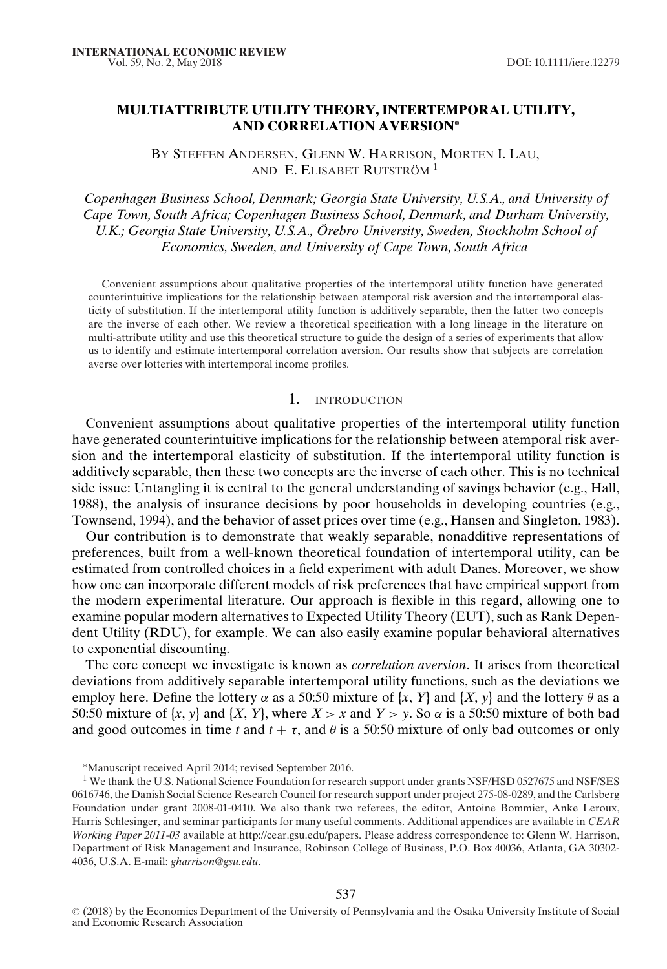# **MULTIATTRIBUTE UTILITY THEORY, INTERTEMPORAL UTILITY, AND CORRELATION AVERSION∗**

BY STEFFEN ANDERSEN, GLENN W. HARRISON, MORTEN I. LAU, AND E. ELISABET RUTSTRÖM<sup>1</sup>

*Copenhagen Business School, Denmark; Georgia State University, U.S.A., and University of Cape Town, South Africa; Copenhagen Business School, Denmark, and Durham University, U.K.; Georgia State University, U.S.A., Orebro University, Sweden, Stockholm School of ¨ Economics, Sweden, and University of Cape Town, South Africa*

Convenient assumptions about qualitative properties of the intertemporal utility function have generated counterintuitive implications for the relationship between atemporal risk aversion and the intertemporal elasticity of substitution. If the intertemporal utility function is additively separable, then the latter two concepts are the inverse of each other. We review a theoretical specification with a long lineage in the literature on multi-attribute utility and use this theoretical structure to guide the design of a series of experiments that allow us to identify and estimate intertemporal correlation aversion. Our results show that subjects are correlation averse over lotteries with intertemporal income profiles.

## 1. INTRODUCTION

Convenient assumptions about qualitative properties of the intertemporal utility function have generated counterintuitive implications for the relationship between atemporal risk aversion and the intertemporal elasticity of substitution. If the intertemporal utility function is additively separable, then these two concepts are the inverse of each other. This is no technical side issue: Untangling it is central to the general understanding of savings behavior (e.g., Hall, 1988), the analysis of insurance decisions by poor households in developing countries (e.g., Townsend, 1994), and the behavior of asset prices over time (e.g., Hansen and Singleton, 1983).

Our contribution is to demonstrate that weakly separable, nonadditive representations of preferences, built from a well-known theoretical foundation of intertemporal utility, can be estimated from controlled choices in a field experiment with adult Danes. Moreover, we show how one can incorporate different models of risk preferences that have empirical support from the modern experimental literature. Our approach is flexible in this regard, allowing one to examine popular modern alternatives to Expected Utility Theory (EUT), such as Rank Dependent Utility (RDU), for example. We can also easily examine popular behavioral alternatives to exponential discounting.

The core concept we investigate is known as *correlation aversion*. It arises from theoretical deviations from additively separable intertemporal utility functions, such as the deviations we employ here. Define the lottery  $\alpha$  as a 50:50 mixture of {*x*, *Y*} and {*X*, *y*} and the lottery  $\theta$  as a 50:50 mixture of  $\{x, y\}$  and  $\{X, Y\}$ , where  $X > x$  and  $Y > y$ . So  $\alpha$  is a 50:50 mixture of both bad and good outcomes in time *t* and  $t + \tau$ , and  $\theta$  is a 50:50 mixture of only bad outcomes or only

<sup>∗</sup>Manuscript received April 2014; revised September 2016.

<sup>&</sup>lt;sup>1</sup> We thank the U.S. National Science Foundation for research support under grants NSF/HSD 0527675 and NSF/SES 0616746, the Danish Social Science Research Council for research support under project 275-08-0289, and the Carlsberg Foundation under grant 2008-01-0410. We also thank two referees, the editor, Antoine Bommier, Anke Leroux, Harris Schlesinger, and seminar participants for many useful comments. Additional appendices are available in *CEAR Working Paper 2011-03* available at http://cear.gsu.edu/papers. Please address correspondence to: Glenn W. Harrison, Department of Risk Management and Insurance, Robinson College of Business, P.O. Box 40036, Atlanta, GA 30302- 4036, U.S.A. E-mail: *gharrison@gsu.edu*.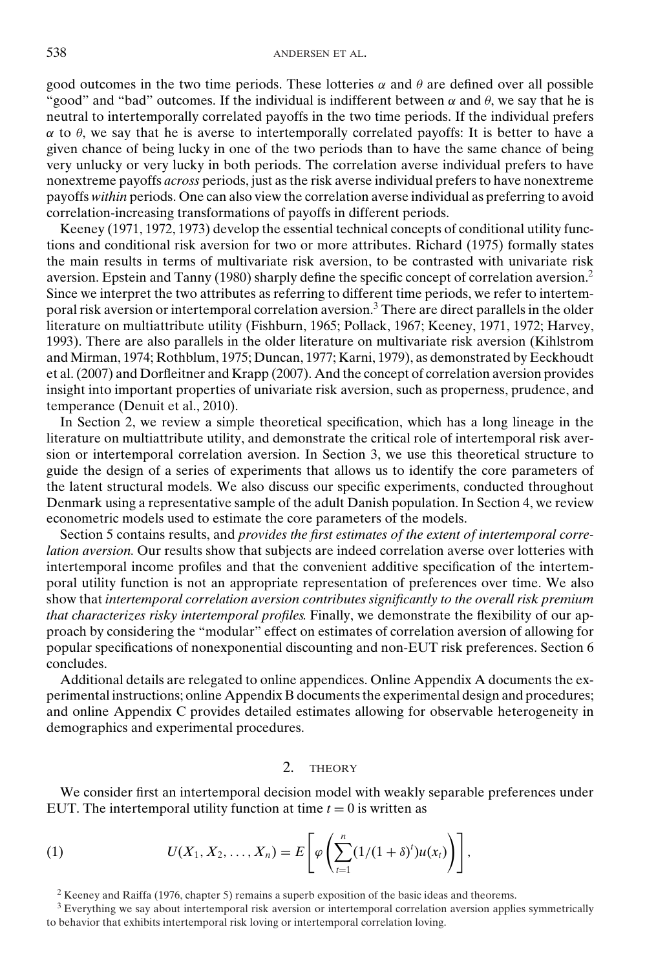good outcomes in the two time periods. These lotteries  $\alpha$  and  $\theta$  are defined over all possible "good" and "bad" outcomes. If the individual is indifferent between  $\alpha$  and  $\theta$ , we say that he is neutral to intertemporally correlated payoffs in the two time periods. If the individual prefers  $\alpha$  to  $\theta$ , we say that he is averse to intertemporally correlated payoffs: It is better to have a given chance of being lucky in one of the two periods than to have the same chance of being very unlucky or very lucky in both periods. The correlation averse individual prefers to have nonextreme payoffs *across* periods, just as the risk averse individual prefers to have nonextreme payoffs *within* periods. One can also view the correlation averse individual as preferring to avoid correlation-increasing transformations of payoffs in different periods.

Keeney (1971, 1972, 1973) develop the essential technical concepts of conditional utility functions and conditional risk aversion for two or more attributes. Richard (1975) formally states the main results in terms of multivariate risk aversion, to be contrasted with univariate risk aversion. Epstein and Tanny (1980) sharply define the specific concept of correlation aversion.<sup>2</sup> Since we interpret the two attributes as referring to different time periods, we refer to intertemporal risk aversion or intertemporal correlation aversion.<sup>3</sup> There are direct parallels in the older literature on multiattribute utility (Fishburn, 1965; Pollack, 1967; Keeney, 1971, 1972; Harvey, 1993). There are also parallels in the older literature on multivariate risk aversion (Kihlstrom and Mirman, 1974; Rothblum, 1975; Duncan, 1977; Karni, 1979), as demonstrated by Eeckhoudt et al. (2007) and Dorfleitner and Krapp (2007). And the concept of correlation aversion provides insight into important properties of univariate risk aversion, such as properness, prudence, and temperance (Denuit et al., 2010).

In Section 2, we review a simple theoretical specification, which has a long lineage in the literature on multiattribute utility, and demonstrate the critical role of intertemporal risk aversion or intertemporal correlation aversion. In Section 3, we use this theoretical structure to guide the design of a series of experiments that allows us to identify the core parameters of the latent structural models. We also discuss our specific experiments, conducted throughout Denmark using a representative sample of the adult Danish population. In Section 4, we review econometric models used to estimate the core parameters of the models.

Section 5 contains results, and *provides the first estimates of the extent of intertemporal correlation aversion.* Our results show that subjects are indeed correlation averse over lotteries with intertemporal income profiles and that the convenient additive specification of the intertemporal utility function is not an appropriate representation of preferences over time. We also show that *intertemporal correlation aversion contributes significantly to the overall risk premium that characterizes risky intertemporal profiles.* Finally, we demonstrate the flexibility of our approach by considering the "modular" effect on estimates of correlation aversion of allowing for popular specifications of nonexponential discounting and non-EUT risk preferences. Section 6 concludes.

Additional details are relegated to online appendices. Online Appendix A documents the experimental instructions; online Appendix B documents the experimental design and procedures; and online Appendix C provides detailed estimates allowing for observable heterogeneity in demographics and experimental procedures.

## 2. THEORY

We consider first an intertemporal decision model with weakly separable preferences under EUT. The intertemporal utility function at time  $t = 0$  is written as

(1) 
$$
U(X_1, X_2, ..., X_n) = E\left[\varphi\left(\sum_{t=1}^n (1/(1+\delta)^t)u(x_t)\right)\right],
$$

 $2$  Keeney and Raiffa (1976, chapter 5) remains a superb exposition of the basic ideas and theorems.

 $3$  Everything we say about intertemporal risk aversion or intertemporal correlation aversion applies symmetrically to behavior that exhibits intertemporal risk loving or intertemporal correlation loving.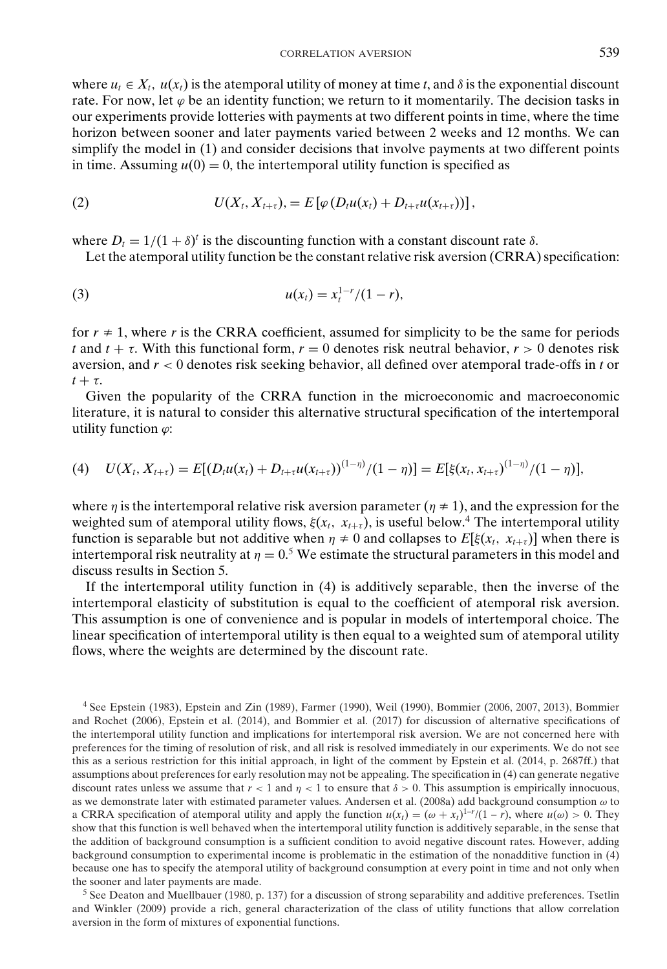where  $u_t \in X_t$ ,  $u(x_t)$  is the atemporal utility of money at time *t*, and  $\delta$  is the exponential discount rate. For now, let  $\varphi$  be an identity function; we return to it momentarily. The decision tasks in our experiments provide lotteries with payments at two different points in time, where the time horizon between sooner and later payments varied between 2 weeks and 12 months. We can simplify the model in (1) and consider decisions that involve payments at two different points in time. Assuming  $u(0) = 0$ , the intertemporal utility function is specified as

(2) 
$$
U(X_t,X_{t+\tau})=E\left[\varphi(D_tu(x_t)+D_{t+\tau}u(x_{t+\tau}))\right],
$$

where  $D_t = 1/(1 + \delta)^t$  is the discounting function with a constant discount rate  $\delta$ .

Let the atemporal utility function be the constant relative risk aversion (CRRA) specification:

(3) 
$$
u(x_t) = x_t^{1-r}/(1-r),
$$

for  $r \neq 1$ , where *r* is the CRRA coefficient, assumed for simplicity to be the same for periods *t* and  $t + \tau$ . With this functional form,  $r = 0$  denotes risk neutral behavior,  $r > 0$  denotes risk aversion, and *r* < 0 denotes risk seeking behavior, all defined over atemporal trade-offs in *t* or  $t + \tau$ .

Given the popularity of the CRRA function in the microeconomic and macroeconomic literature, it is natural to consider this alternative structural specification of the intertemporal utility function  $\varphi$ :

(4) 
$$
U(X_t, X_{t+\tau}) = E[(D_t u(x_t) + D_{t+\tau} u(x_{t+\tau}))^{(1-\eta)}/(1-\eta)] = E[\xi(x_t, x_{t+\tau})^{(1-\eta)}/(1-\eta)],
$$

where  $\eta$  is the intertemporal relative risk aversion parameter ( $\eta \neq 1$ ), and the expression for the weighted sum of atemporal utility flows,  $\xi(x_t, x_{t+\tau})$ , is useful below.<sup>4</sup> The intertemporal utility function is separable but not additive when  $\eta \neq 0$  and collapses to  $E[\xi(x_t, x_{t+\tau})]$  when there is intertemporal risk neutrality at  $\eta = 0.5$  We estimate the structural parameters in this model and discuss results in Section 5.

If the intertemporal utility function in (4) is additively separable, then the inverse of the intertemporal elasticity of substitution is equal to the coefficient of atemporal risk aversion. This assumption is one of convenience and is popular in models of intertemporal choice. The linear specification of intertemporal utility is then equal to a weighted sum of atemporal utility flows, where the weights are determined by the discount rate.

<sup>4</sup> See Epstein (1983), Epstein and Zin (1989), Farmer (1990), Weil (1990), Bommier (2006, 2007, 2013), Bommier and Rochet (2006), Epstein et al. (2014), and Bommier et al. (2017) for discussion of alternative specifications of the intertemporal utility function and implications for intertemporal risk aversion. We are not concerned here with preferences for the timing of resolution of risk, and all risk is resolved immediately in our experiments. We do not see this as a serious restriction for this initial approach, in light of the comment by Epstein et al. (2014, p. 2687ff.) that assumptions about preferences for early resolution may not be appealing. The specification in (4) can generate negative discount rates unless we assume that  $r < 1$  and  $\eta < 1$  to ensure that  $\delta > 0$ . This assumption is empirically innocuous, as we demonstrate later with estimated parameter values. Andersen et al. (2008a) add background consumption  $\omega$  to a CRRA specification of atemporal utility and apply the function  $u(x_t) = (\omega + x_t)^{1-r}/(1-r)$ , where  $u(\omega) > 0$ . They show that this function is well behaved when the intertemporal utility function is additively separable, in the sense that the addition of background consumption is a sufficient condition to avoid negative discount rates. However, adding background consumption to experimental income is problematic in the estimation of the nonadditive function in (4) because one has to specify the atemporal utility of background consumption at every point in time and not only when the sooner and later payments are made.

<sup>5</sup> See Deaton and Muellbauer (1980, p. 137) for a discussion of strong separability and additive preferences. Tsetlin and Winkler (2009) provide a rich, general characterization of the class of utility functions that allow correlation aversion in the form of mixtures of exponential functions.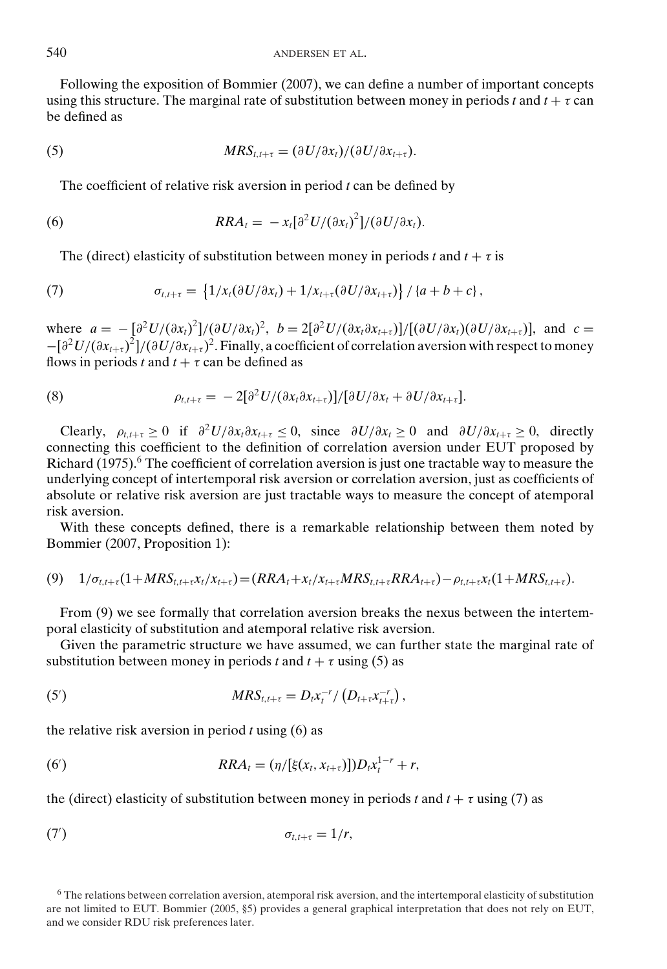Following the exposition of Bommier (2007), we can define a number of important concepts using this structure. The marginal rate of substitution between money in periods *t* and  $t + \tau$  can be defined as

(5) 
$$
MRS_{t,t+\tau} = (\partial U/\partial x_t)/(\partial U/\partial x_{t+\tau}).
$$

The coefficient of relative risk aversion in period *t* can be defined by

(6) 
$$
RRA_t = -x_t[\partial^2 U/(\partial x_t)^2]/(\partial U/\partial x_t).
$$

The (direct) elasticity of substitution between money in periods *t* and  $t + \tau$  is

(7) 
$$
\sigma_{t,t+\tau} = \left\{1/x_t(\partial U/\partial x_t) + 1/x_{t+\tau}(\partial U/\partial x_{t+\tau})\right\}/\left\{a+b+c\right\},\,
$$

where  $a = -\left[\frac{\partial^2 U}{\partial x_t}\right]^2]/(\frac{\partial U}{\partial x_t})^2$ ,  $b = 2\left[\frac{\partial^2 U}{\partial x_t}\frac{\partial x_{t+\tau}}{\partial x_{t+\tau}}\right]/[(\frac{\partial U}{\partial x_t})(\frac{\partial U}{\partial x_{t+\tau}})]$ , and  $c =$  $-[∂<sup>2</sup>U/(∂x<sub>t+τ</sub>)<sup>2</sup>]/(∂U/∂x<sub>t+τ</sub>)<sup>2</sup>. Finally, a coefficient of correlation aversion with respect to money$ flows in periods *t* and  $t + \tau$  can be defined as

(8) 
$$
\rho_{t,t+\tau} = -2[\partial^2 U/(\partial x_t \partial x_{t+\tau})]/[\partial U/\partial x_t + \partial U/\partial x_{t+\tau}].
$$

Clearly,  $\rho_{t,t+\tau} \geq 0$  if  $\partial^2 U/\partial x_t \partial x_{t+\tau} \leq 0$ , since  $\partial U/\partial x_t \geq 0$  and  $\partial U/\partial x_{t+\tau} \geq 0$ , directly connecting this coefficient to the definition of correlation aversion under EUT proposed by Richard  $(1975)$ .<sup>6</sup> The coefficient of correlation aversion is just one tractable way to measure the underlying concept of intertemporal risk aversion or correlation aversion, just as coefficients of absolute or relative risk aversion are just tractable ways to measure the concept of atemporal risk aversion.

With these concepts defined, there is a remarkable relationship between them noted by Bommier (2007, Proposition 1):

$$
(9) \quad 1/\sigma_{t,t+\tau}(1+MRS_{t,t+\tau}x_t/x_{t+\tau}) = (RRA_t + x_t/x_{t+\tau}MRS_{t,t+\tau}RRA_{t+\tau}) - \rho_{t,t+\tau}x_t(1+MRS_{t,t+\tau}).
$$

From (9) we see formally that correlation aversion breaks the nexus between the intertemporal elasticity of substitution and atemporal relative risk aversion.

Given the parametric structure we have assumed, we can further state the marginal rate of substitution between money in periods *t* and  $t + \tau$  using (5) as

(5') 
$$
MRS_{t,t+\tau} = D_t x_t^{-r} / (D_{t+\tau} x_{t+\tau}^{-r}),
$$

the relative risk aversion in period *t* using (6) as

(6') 
$$
RRA_t = (\eta/[\xi(x_t, x_{t+\tau})])D_t x_t^{1-r} + r,
$$

the (direct) elasticity of substitution between money in periods *t* and  $t + \tau$  using (7) as

$$
\sigma_{t,t+\tau}=1/r,
$$

 $6$  The relations between correlation aversion, atemporal risk aversion, and the intertemporal elasticity of substitution are not limited to EUT. Bommier (2005, §5) provides a general graphical interpretation that does not rely on EUT, and we consider RDU risk preferences later.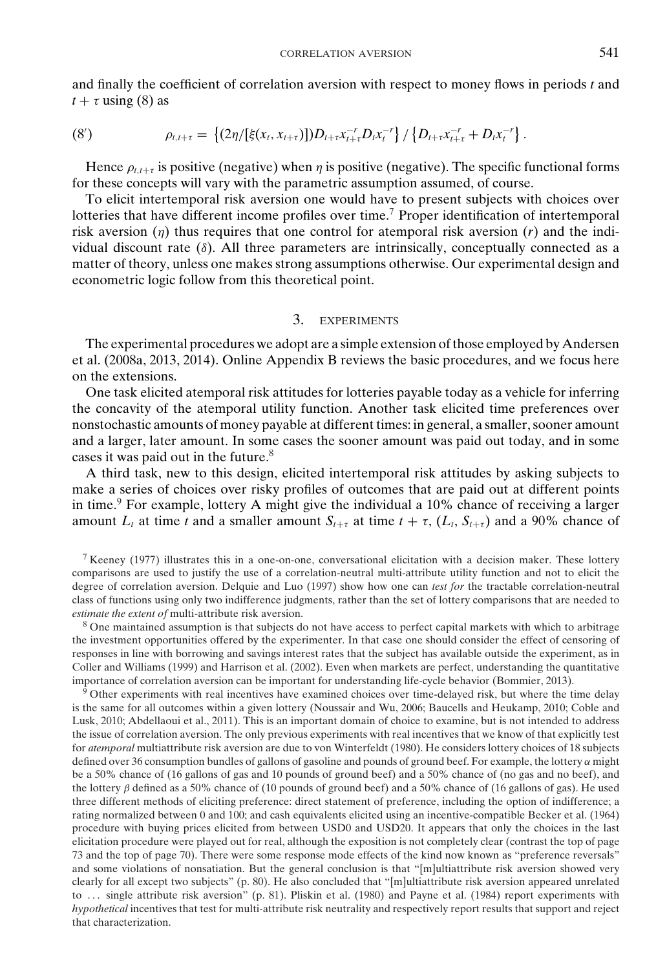and finally the coefficient of correlation aversion with respect to money flows in periods *t* and  $t + \tau$  using (8) as

(8') 
$$
\rho_{t,t+\tau} = \left\{ (2\eta/[\xi(x_t,x_{t+\tau})]) D_{t+\tau} x_{t+\tau}^{-r} D_t x_t^{-r} \right\} / \left\{ D_{t+\tau} x_{t+\tau}^{-r} + D_t x_t^{-r} \right\}.
$$

Hence  $\rho_{t,t+\tau}$  is positive (negative) when  $\eta$  is positive (negative). The specific functional forms for these concepts will vary with the parametric assumption assumed, of course.

To elicit intertemporal risk aversion one would have to present subjects with choices over lotteries that have different income profiles over time.<sup>7</sup> Proper identification of intertemporal risk aversion  $(\eta)$  thus requires that one control for atemporal risk aversion  $(r)$  and the individual discount rate  $(\delta)$ . All three parameters are intrinsically, conceptually connected as a matter of theory, unless one makes strong assumptions otherwise. Our experimental design and econometric logic follow from this theoretical point.

## 3. EXPERIMENTS

The experimental procedures we adopt are a simple extension of those employed by Andersen et al. (2008a, 2013, 2014). Online Appendix B reviews the basic procedures, and we focus here on the extensions.

One task elicited atemporal risk attitudes for lotteries payable today as a vehicle for inferring the concavity of the atemporal utility function. Another task elicited time preferences over nonstochastic amounts of money payable at different times: in general, a smaller, sooner amount and a larger, later amount. In some cases the sooner amount was paid out today, and in some cases it was paid out in the future.<sup>8</sup>

A third task, new to this design, elicited intertemporal risk attitudes by asking subjects to make a series of choices over risky profiles of outcomes that are paid out at different points in time. $9$  For example, lottery A might give the individual a 10% chance of receiving a larger amount  $L_t$  at time *t* and a smaller amount  $S_{t+\tau}$  at time  $t + \tau$ ,  $(L_t, S_{t+\tau})$  and a 90% chance of

<sup>7</sup> Keeney (1977) illustrates this in a one-on-one, conversational elicitation with a decision maker. These lottery comparisons are used to justify the use of a correlation-neutral multi-attribute utility function and not to elicit the degree of correlation aversion. Delquie and Luo (1997) show how one can *test for* the tractable correlation-neutral class of functions using only two indifference judgments, rather than the set of lottery comparisons that are needed to *estimate the extent of* multi-attribute risk aversion.

<sup>8</sup> One maintained assumption is that subjects do not have access to perfect capital markets with which to arbitrage the investment opportunities offered by the experimenter. In that case one should consider the effect of censoring of responses in line with borrowing and savings interest rates that the subject has available outside the experiment, as in Coller and Williams (1999) and Harrison et al. (2002). Even when markets are perfect, understanding the quantitative importance of correlation aversion can be important for understanding life-cycle behavior (Bommier, 2013).

<sup>9</sup> Other experiments with real incentives have examined choices over time-delayed risk, but where the time delay is the same for all outcomes within a given lottery (Noussair and Wu, 2006; Baucells and Heukamp, 2010; Coble and Lusk, 2010; Abdellaoui et al., 2011). This is an important domain of choice to examine, but is not intended to address the issue of correlation aversion. The only previous experiments with real incentives that we know of that explicitly test for *atemporal* multiattribute risk aversion are due to von Winterfeldt (1980). He considers lottery choices of 18 subjects defined over 36 consumption bundles of gallons of gasoline and pounds of ground beef. For example, the lottery  $\alpha$  might be a 50% chance of (16 gallons of gas and 10 pounds of ground beef) and a 50% chance of (no gas and no beef), and the lottery  $\beta$  defined as a 50% chance of (10 pounds of ground beef) and a 50% chance of (16 gallons of gas). He used three different methods of eliciting preference: direct statement of preference, including the option of indifference; a rating normalized between 0 and 100; and cash equivalents elicited using an incentive-compatible Becker et al. (1964) procedure with buying prices elicited from between USD0 and USD20. It appears that only the choices in the last elicitation procedure were played out for real, although the exposition is not completely clear (contrast the top of page 73 and the top of page 70). There were some response mode effects of the kind now known as "preference reversals" and some violations of nonsatiation. But the general conclusion is that "[m]ultiattribute risk aversion showed very clearly for all except two subjects" (p. 80). He also concluded that "[m]ultiattribute risk aversion appeared unrelated to ... single attribute risk aversion" (p. 81). Pliskin et al. (1980) and Payne et al. (1984) report experiments with *hypothetical* incentives that test for multi-attribute risk neutrality and respectively report results that support and reject that characterization.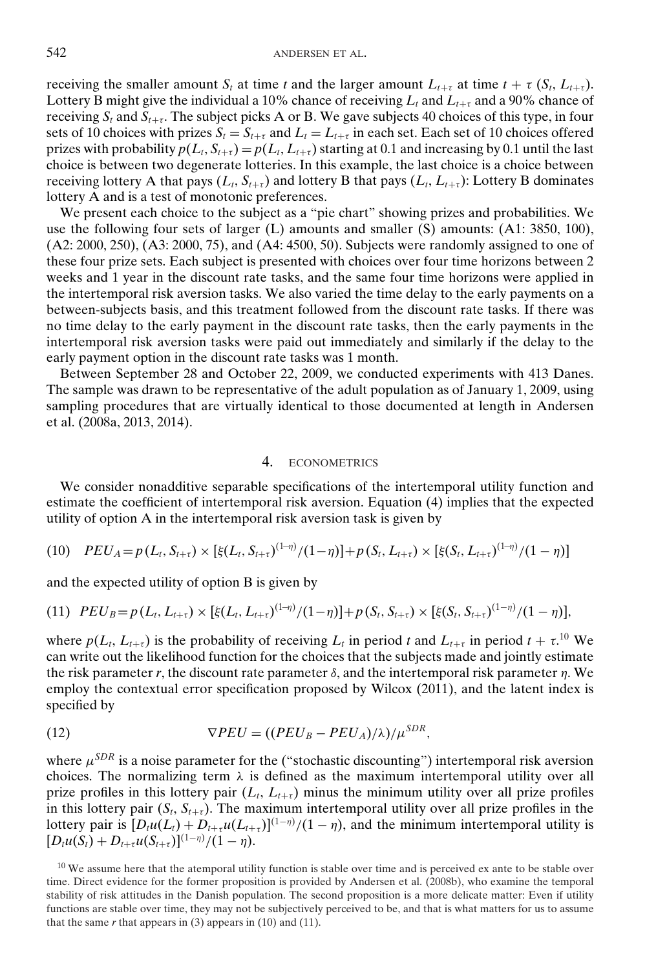receiving the smaller amount  $S_t$  at time t and the larger amount  $L_{t+\tau}$  at time  $t + \tau (S_t, L_{t+\tau})$ . Lottery B might give the individual a 10% chance of receiving  $L_t$  and  $L_{t+\tau}$  and a 90% chance of receiving  $S_t$  and  $S_{t+\tau}$ . The subject picks A or B. We gave subjects 40 choices of this type, in four sets of 10 choices with prizes  $S_t = S_{t+\tau}$  and  $L_t = L_{t+\tau}$  in each set. Each set of 10 choices offered prizes with probability  $p(L_t, S_{t+\tau}) = p(L_t, L_{t+\tau})$  starting at 0.1 and increasing by 0.1 until the last choice is between two degenerate lotteries. In this example, the last choice is a choice between receiving lottery A that pays  $(L_t, S_{t+\tau})$  and lottery B that pays  $(L_t, L_{t+\tau})$ : Lottery B dominates lottery A and is a test of monotonic preferences.

We present each choice to the subject as a "pie chart" showing prizes and probabilities. We use the following four sets of larger (L) amounts and smaller (S) amounts: (A1: 3850, 100), (A2: 2000, 250), (A3: 2000, 75), and (A4: 4500, 50). Subjects were randomly assigned to one of these four prize sets. Each subject is presented with choices over four time horizons between 2 weeks and 1 year in the discount rate tasks, and the same four time horizons were applied in the intertemporal risk aversion tasks. We also varied the time delay to the early payments on a between-subjects basis, and this treatment followed from the discount rate tasks. If there was no time delay to the early payment in the discount rate tasks, then the early payments in the intertemporal risk aversion tasks were paid out immediately and similarly if the delay to the early payment option in the discount rate tasks was 1 month.

Between September 28 and October 22, 2009, we conducted experiments with 413 Danes. The sample was drawn to be representative of the adult population as of January 1, 2009, using sampling procedures that are virtually identical to those documented at length in Andersen et al. (2008a, 2013, 2014).

### 4. ECONOMETRICS

We consider nonadditive separable specifications of the intertemporal utility function and estimate the coefficient of intertemporal risk aversion. Equation (4) implies that the expected utility of option A in the intertemporal risk aversion task is given by

(10) 
$$
PEU_A = p(L_t, S_{t+\tau}) \times [\xi(L_t, S_{t+\tau})^{(1-\eta)}/(1-\eta)] + p(S_t, L_{t+\tau}) \times [\xi(S_t, L_{t+\tau})^{(1-\eta)}/(1-\eta)]
$$

and the expected utility of option B is given by

(11) 
$$
PEU_B = p(L_t, L_{t+\tau}) \times [\xi(L_t, L_{t+\tau})^{(1-\eta)}/(1-\eta)] + p(S_t, S_{t+\tau}) \times [\xi(S_t, S_{t+\tau})^{(1-\eta)}/(1-\eta)],
$$

where  $p(L_t, L_{t+\tau})$  is the probability of receiving  $L_t$  in period t and  $L_{t+\tau}$  in period  $t+\tau$ <sup>10</sup> We can write out the likelihood function for the choices that the subjects made and jointly estimate the risk parameter  $r$ , the discount rate parameter  $\delta$ , and the intertemporal risk parameter  $\eta$ . We employ the contextual error specification proposed by Wilcox (2011), and the latent index is specified by

(12) 
$$
\nabla PEU = ((PEU_B - PEU_A)/\lambda)/\mu^{SDR},
$$

where  $\mu^{SDR}$  is a noise parameter for the ("stochastic discounting") intertemporal risk aversion choices. The normalizing term  $\lambda$  is defined as the maximum intertemporal utility over all prize profiles in this lottery pair  $(L_t, L_{t+\tau})$  minus the minimum utility over all prize profiles in this lottery pair  $(S_t, S_{t+\tau})$ . The maximum intertemporal utility over all prize profiles in the lottery pair is  $[D_t u(L_t) + D_{t+\tau} u(L_{t+\tau})]^{(1-\eta)}/(1-\eta)$ , and the minimum intertemporal utility is  $[D_t u(S_t) + D_{t+\tau} u(S_{t+\tau})]^{(1-\eta)}/(1-\eta).$ 

 $10$  We assume here that the atemporal utility function is stable over time and is perceived ex ante to be stable over time. Direct evidence for the former proposition is provided by Andersen et al. (2008b), who examine the temporal stability of risk attitudes in the Danish population. The second proposition is a more delicate matter: Even if utility functions are stable over time, they may not be subjectively perceived to be, and that is what matters for us to assume that the same  $r$  that appears in  $(3)$  appears in  $(10)$  and  $(11)$ .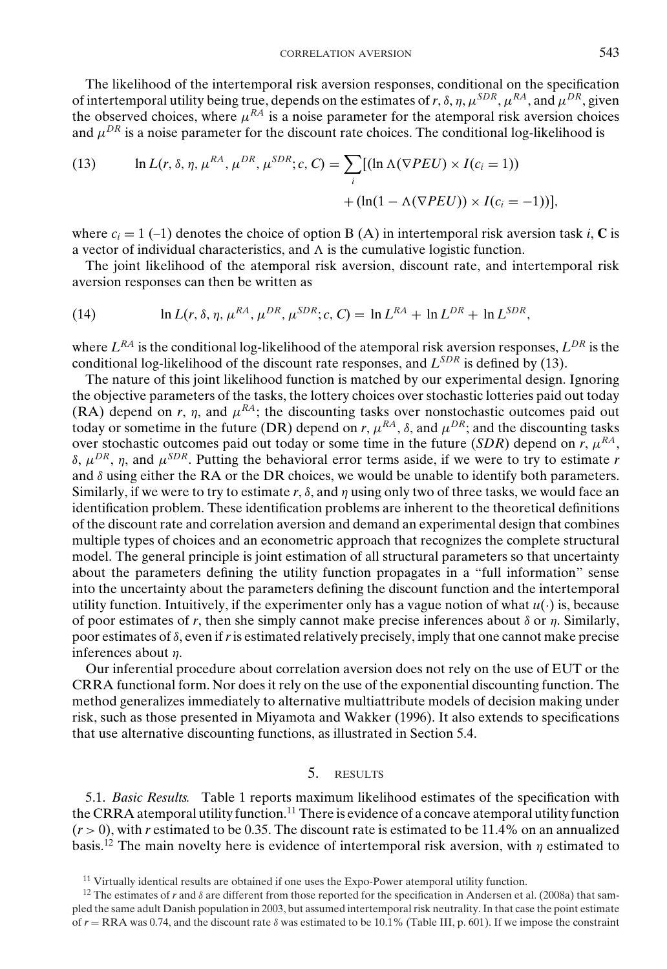The likelihood of the intertemporal risk aversion responses, conditional on the specification of intertemporal utility being true, depends on the estimates of r,  $\delta$ ,  $\eta$ ,  $\mu^{SDR}$ ,  $\mu^{RA}$ , and  $\mu^{DR}$ , given the observed choices, where  $\mu^{RA}$  is a noise parameter for the atemporal risk aversion choices and  $\mu^{DR}$  is a noise parameter for the discount rate choices. The conditional log-likelihood is

(13) 
$$
\ln L(r, \delta, \eta, \mu^{RA}, \mu^{DR}, \mu^{SDR}; c, C) = \sum_{i} [(\ln \Lambda(\nabla PEU) \times I(c_i = 1)) + (\ln(1 - \Lambda(\nabla PEU)) \times I(c_i = -1))],
$$

where  $c_i = 1$  (-1) denotes the choice of option B (A) in intertemporal risk aversion task *i*, **C** is a vector of individual characteristics, and  $\Lambda$  is the cumulative logistic function.

The joint likelihood of the atemporal risk aversion, discount rate, and intertemporal risk aversion responses can then be written as

(14) 
$$
\ln L(r, \delta, \eta, \mu^{RA}, \mu^{DR}, \mu^{SDR}; c, C) = \ln L^{RA} + \ln L^{DR} + \ln L^{SDR},
$$

where  $L^{RA}$  is the conditional log-likelihood of the atemporal risk aversion responses,  $L^{DR}$  is the conditional log-likelihood of the discount rate responses, and *LSDR* is defined by (13).

The nature of this joint likelihood function is matched by our experimental design. Ignoring the objective parameters of the tasks, the lottery choices over stochastic lotteries paid out today (RA) depend on *r*, *n*, and  $\mu^{RA}$ ; the discounting tasks over nonstochastic outcomes paid out today or sometime in the future (DR) depend on *r*,  $\mu^{RA}$ ,  $\delta$ , and  $\mu^{DR}$ ; and the discounting tasks over stochastic outcomes paid out today or some time in the future (*SDR*) depend on *r*,  $\mu^{RA}$ , δ, μ*DR*, η, and μ*SDR*. Putting the behavioral error terms aside, if we were to try to estimate *r* and  $\delta$  using either the RA or the DR choices, we would be unable to identify both parameters. Similarly, if we were to try to estimate  $r$ ,  $\delta$ , and  $\eta$  using only two of three tasks, we would face an identification problem. These identification problems are inherent to the theoretical definitions of the discount rate and correlation aversion and demand an experimental design that combines multiple types of choices and an econometric approach that recognizes the complete structural model. The general principle is joint estimation of all structural parameters so that uncertainty about the parameters defining the utility function propagates in a "full information" sense into the uncertainty about the parameters defining the discount function and the intertemporal utility function. Intuitively, if the experimenter only has a vague notion of what  $u(\cdot)$  is, because of poor estimates of  $r$ , then she simply cannot make precise inferences about  $\delta$  or  $\eta$ . Similarly, poor estimates of  $\delta$ , even if r is estimated relatively precisely, imply that one cannot make precise inferences about η.

Our inferential procedure about correlation aversion does not rely on the use of EUT or the CRRA functional form. Nor does it rely on the use of the exponential discounting function. The method generalizes immediately to alternative multiattribute models of decision making under risk, such as those presented in Miyamota and Wakker (1996). It also extends to specifications that use alternative discounting functions, as illustrated in Section 5.4.

## 5. RESULTS

5.1. *Basic Results.* Table 1 reports maximum likelihood estimates of the specification with the CRRA atemporal utility function.<sup>11</sup> There is evidence of a concave atemporal utility function  $(r > 0)$ , with *r* estimated to be 0.35. The discount rate is estimated to be 11.4% on an annualized basis.<sup>12</sup> The main novelty here is evidence of intertemporal risk aversion, with  $\eta$  estimated to

<sup>&</sup>lt;sup>11</sup> Virtually identical results are obtained if one uses the Expo-Power atemporal utility function.

<sup>&</sup>lt;sup>12</sup> The estimates of *r* and  $\delta$  are different from those reported for the specification in Andersen et al. (2008a) that sampled the same adult Danish population in 2003, but assumed intertemporal risk neutrality. In that case the point estimate of  $r = \text{RRA}$  was 0.74, and the discount rate  $\delta$  was estimated to be 10.1% (Table III, p. 601). If we impose the constraint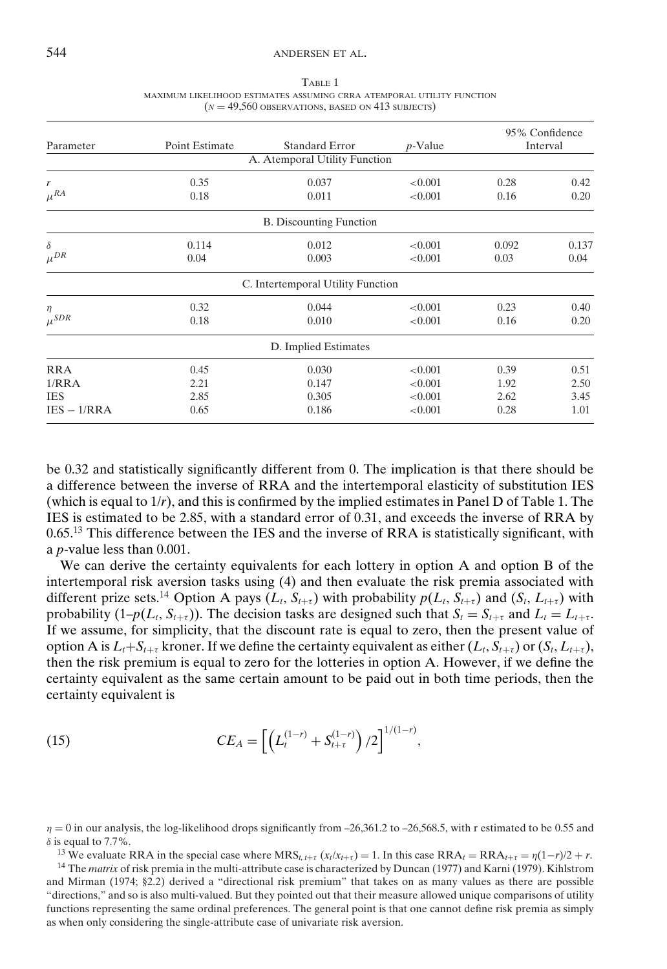| Parameter     | Point Estimate | <b>Standard Error</b>             | $p$ -Value | 95% Confidence<br>Interval |       |
|---------------|----------------|-----------------------------------|------------|----------------------------|-------|
|               |                | A. Atemporal Utility Function     |            |                            |       |
| r             | 0.35           | 0.037                             | < 0.001    | 0.28                       | 0.42  |
| $\mu^{RA}$    | 0.18           | 0.011                             | < 0.001    | 0.16                       | 0.20  |
|               |                | <b>B.</b> Discounting Function    |            |                            |       |
| $\delta$      | 0.114          | 0.012                             | < 0.001    | 0.092                      | 0.137 |
| $\mu^{DR}$    | 0.04           | 0.003                             | < 0.001    | 0.03                       | 0.04  |
|               |                | C. Intertemporal Utility Function |            |                            |       |
| $\eta$        | 0.32           | 0.044                             | < 0.001    | 0.23                       | 0.40  |
| $\mu^{SDR}$   | 0.18           | 0.010                             | < 0.001    | 0.16                       | 0.20  |
|               |                | D. Implied Estimates              |            |                            |       |
| <b>RRA</b>    | 0.45           | 0.030                             | < 0.001    | 0.39                       | 0.51  |
| 1/RRA         | 2.21           | 0.147                             | < 0.001    | 1.92                       | 2.50  |
| <b>IES</b>    | 2.85           | 0.305                             | < 0.001    | 2.62                       | 3.45  |
| $IES - 1/RRA$ | 0.65           | 0.186                             | < 0.001    | 0.28                       | 1.01  |

TABLE 1 MAXIMUM LIKELIHOOD ESTIMATES ASSUMING CRRA ATEMPORAL UTILITY FUNCTION  $(N = 49,560$  OBSERVATIONS, BASED ON 413 SUBJECTS)

be 0.32 and statistically significantly different from 0. The implication is that there should be a difference between the inverse of RRA and the intertemporal elasticity of substitution IES (which is equal to 1/*r*), and this is confirmed by the implied estimates in Panel D of Table 1. The IES is estimated to be 2.85, with a standard error of 0.31, and exceeds the inverse of RRA by 0.65.<sup>13</sup> This difference between the IES and the inverse of RRA is statistically significant, with a *p*-value less than 0.001.

We can derive the certainty equivalents for each lottery in option A and option B of the intertemporal risk aversion tasks using (4) and then evaluate the risk premia associated with different prize sets.<sup>14</sup> Option A pays  $(L_t, S_{t+\tau})$  with probability  $p(L_t, S_{t+\tau})$  and  $(S_t, L_{t+\tau})$  with probability  $(1-p(L_t, S_{t+\tau}))$ . The decision tasks are designed such that  $S_t = S_{t+\tau}$  and  $L_t = L_{t+\tau}$ . If we assume, for simplicity, that the discount rate is equal to zero, then the present value of option A is  $L_t + S_{t+\tau}$  kroner. If we define the certainty equivalent as either  $(L_t, S_{t+\tau})$  or  $(S_t, L_{t+\tau})$ , then the risk premium is equal to zero for the lotteries in option A. However, if we define the certainty equivalent as the same certain amount to be paid out in both time periods, then the certainty equivalent is

(15) 
$$
CE_A = \left[ \left( L_t^{(1-r)} + S_{t+\tau}^{(1-r)} \right) / 2 \right]^{1/(1-r)},
$$

 $\eta = 0$  in our analysis, the log-likelihood drops significantly from -26,361.2 to -26,568.5, with r estimated to be 0.55 and  $\delta$  is equal to 7.7%.

<sup>13</sup> We evaluate RRA in the special case where  $MRS_{t,t+\tau}(x_t/x_{t+\tau}) = 1$ . In this case  $RRA_t = RRA_{t+\tau} = \eta(1-r)/2 + r$ .

<sup>14</sup> The *matrix* of risk premia in the multi-attribute case is characterized by Duncan (1977) and Karni (1979). Kihlstrom and Mirman (1974; §2.2) derived a "directional risk premium" that takes on as many values as there are possible "directions," and so is also multi-valued. But they pointed out that their measure allowed unique comparisons of utility functions representing the same ordinal preferences. The general point is that one cannot define risk premia as simply as when only considering the single-attribute case of univariate risk aversion.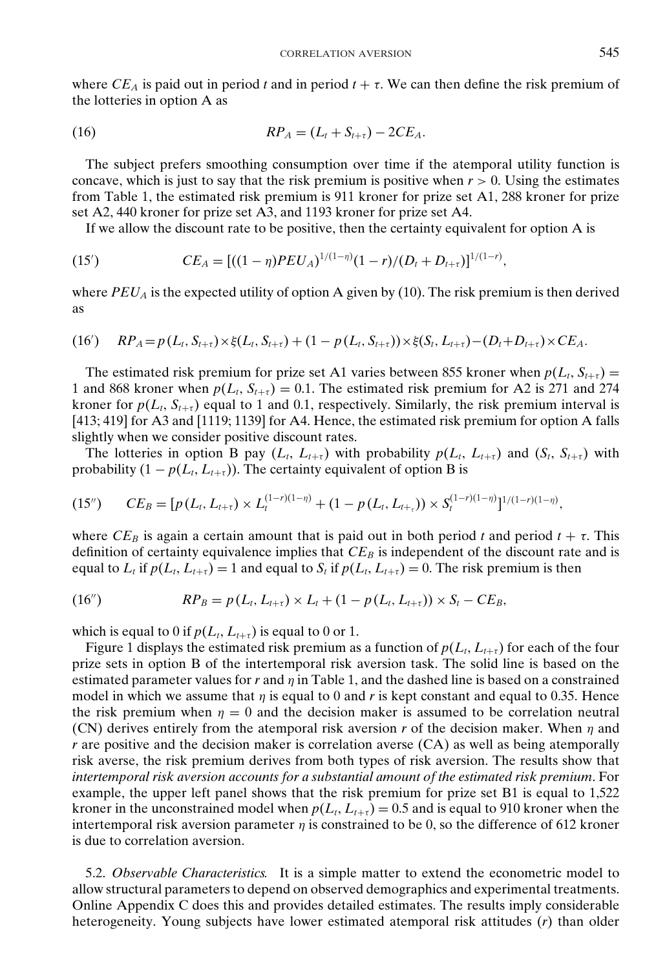where  $CE_A$  is paid out in period *t* and in period  $t + \tau$ . We can then define the risk premium of the lotteries in option A as

(16) 
$$
RP_A = (L_t + S_{t+\tau}) - 2CE_A.
$$

The subject prefers smoothing consumption over time if the atemporal utility function is concave, which is just to say that the risk premium is positive when  $r > 0$ . Using the estimates from Table 1, the estimated risk premium is 911 kroner for prize set A1, 288 kroner for prize set A2, 440 kroner for prize set A3, and 1193 kroner for prize set A4.

If we allow the discount rate to be positive, then the certainty equivalent for option A is

(15') 
$$
CE_A = [((1 - \eta)PEU_A)^{1/(1 - \eta)}(1 - r)/(D_t + D_{t+\tau})]^{1/(1 - r)},
$$

where  $PEU_A$  is the expected utility of option A given by (10). The risk premium is then derived as

(16') 
$$
RP_A = p(L_t, S_{t+\tau}) \times \xi(L_t, S_{t+\tau}) + (1 - p(L_t, S_{t+\tau})) \times \xi(S_t, L_{t+\tau}) - (D_t + D_{t+\tau}) \times CE_A.
$$

The estimated risk premium for prize set A1 varies between 855 kroner when  $p(L_t, S_{t+\tau}) =$ 1 and 868 kroner when  $p(L_t, S_{t+\tau}) = 0.1$ . The estimated risk premium for A2 is 271 and 274 kroner for  $p(L_t, S_{t+\tau})$  equal to 1 and 0.1, respectively. Similarly, the risk premium interval is [413; 419] for A3 and [1119; 1139] for A4. Hence, the estimated risk premium for option A falls slightly when we consider positive discount rates.

The lotteries in option B pay  $(L_t, L_{t+\tau})$  with probability  $p(L_t, L_{t+\tau})$  and  $(S_t, S_{t+\tau})$  with probability  $(1 - p(L_t, L_{t+\tau}))$ . The certainty equivalent of option B is

$$
(15'') \qquad CE_B = [p(L_t, L_{t+\tau}) \times L_t^{(1-r)(1-\eta)} + (1-p(L_t, L_{t+\tau})) \times S_t^{(1-r)(1-\eta)}]^{1/(1-r)(1-\eta)},
$$

where  $CE_B$  is again a certain amount that is paid out in both period *t* and period  $t + \tau$ . This definition of certainty equivalence implies that  $CE_B$  is independent of the discount rate and is equal to  $L_t$  if  $p(L_t, L_{t+\tau}) = 1$  and equal to  $S_t$  if  $p(L_t, L_{t+\tau}) = 0$ . The risk premium is then

(16") 
$$
RP_B = p(L_t, L_{t+\tau}) \times L_t + (1 - p(L_t, L_{t+\tau})) \times S_t - CE_B,
$$

which is equal to 0 if  $p(L_t, L_{t+\tau})$  is equal to 0 or 1.

Figure 1 displays the estimated risk premium as a function of  $p(L_t, L_{t+\tau})$  for each of the four prize sets in option B of the intertemporal risk aversion task. The solid line is based on the estimated parameter values for  $r$  and  $\eta$  in Table 1, and the dashed line is based on a constrained model in which we assume that  $\eta$  is equal to 0 and  $r$  is kept constant and equal to 0.35. Hence the risk premium when  $\eta = 0$  and the decision maker is assumed to be correlation neutral (CN) derives entirely from the atemporal risk aversion  $r$  of the decision maker. When  $\eta$  and *r* are positive and the decision maker is correlation averse (CA) as well as being atemporally risk averse, the risk premium derives from both types of risk aversion. The results show that *intertemporal risk aversion accounts for a substantial amount of the estimated risk premium*. For example, the upper left panel shows that the risk premium for prize set B1 is equal to 1,522 kroner in the unconstrained model when  $p(L_t, L_{t+\tau}) = 0.5$  and is equal to 910 kroner when the intertemporal risk aversion parameter  $\eta$  is constrained to be 0, so the difference of 612 kroner is due to correlation aversion.

5.2. *Observable Characteristics.* It is a simple matter to extend the econometric model to allow structural parameters to depend on observed demographics and experimental treatments. Online Appendix C does this and provides detailed estimates. The results imply considerable heterogeneity. Young subjects have lower estimated atemporal risk attitudes (*r*) than older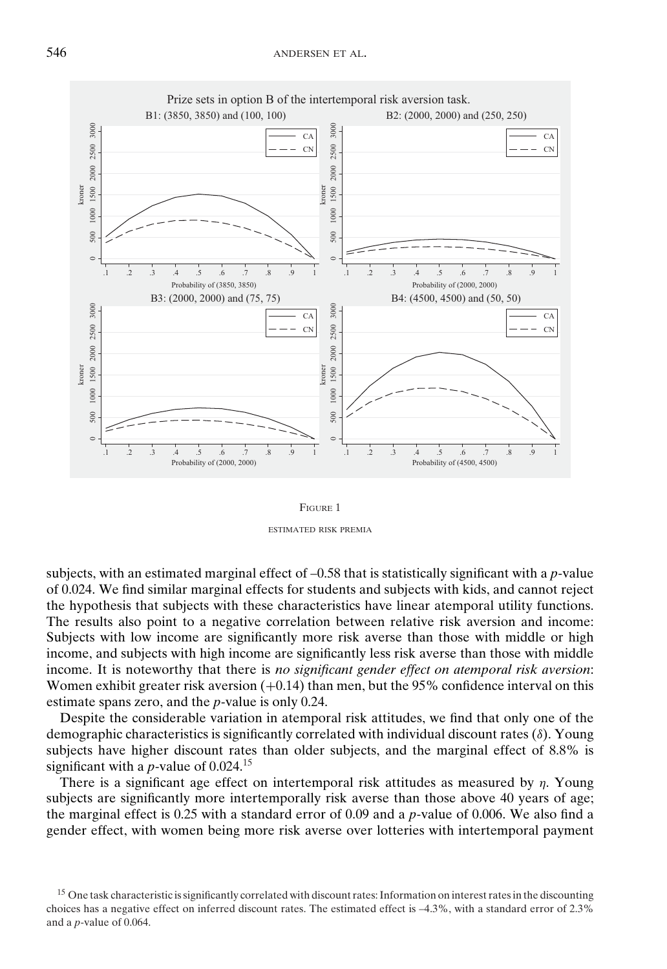

FIGURE 1 ESTIMATED RISK PREMIA

subjects, with an estimated marginal effect of –0.58 that is statistically significant with a *p*-value of 0.024. We find similar marginal effects for students and subjects with kids, and cannot reject the hypothesis that subjects with these characteristics have linear atemporal utility functions. The results also point to a negative correlation between relative risk aversion and income: Subjects with low income are significantly more risk averse than those with middle or high income, and subjects with high income are significantly less risk averse than those with middle income. It is noteworthy that there is *no significant gender effect on atemporal risk aversion*: Women exhibit greater risk aversion  $(+0.14)$  than men, but the 95% confidence interval on this estimate spans zero, and the *p*-value is only 0.24.

Despite the considerable variation in atemporal risk attitudes, we find that only one of the demographic characteristics is significantly correlated with individual discount rates (δ). Young subjects have higher discount rates than older subjects, and the marginal effect of 8.8% is significant with a *p*-value of 0.024.<sup>15</sup>

There is a significant age effect on intertemporal risk attitudes as measured by  $\eta$ . Young subjects are significantly more intertemporally risk averse than those above 40 years of age; the marginal effect is 0.25 with a standard error of 0.09 and a *p*-value of 0.006. We also find a gender effect, with women being more risk averse over lotteries with intertemporal payment

<sup>&</sup>lt;sup>15</sup> One task characteristic is significantly correlated with discount rates: Information on interest rates in the discounting choices has a negative effect on inferred discount rates. The estimated effect is –4.3%, with a standard error of 2.3% and a *p*-value of 0.064.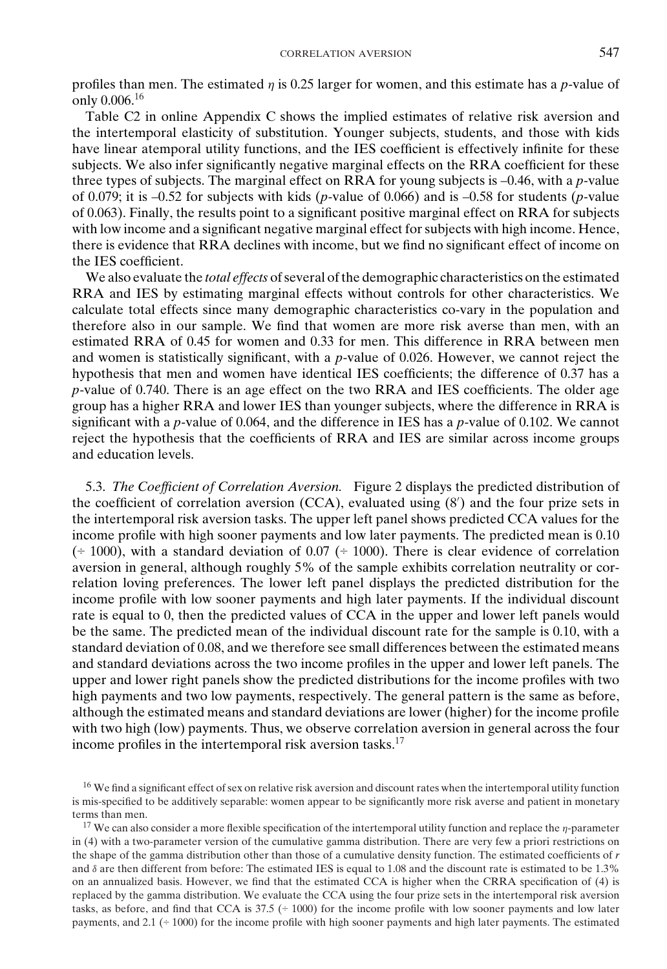profiles than men. The estimated  $\eta$  is 0.25 larger for women, and this estimate has a *p*-value of only 0.006.<sup>16</sup>

Table C2 in online Appendix C shows the implied estimates of relative risk aversion and the intertemporal elasticity of substitution. Younger subjects, students, and those with kids have linear atemporal utility functions, and the IES coefficient is effectively infinite for these subjects. We also infer significantly negative marginal effects on the RRA coefficient for these three types of subjects. The marginal effect on RRA for young subjects is –0.46, with a *p*-value of 0.079; it is –0.52 for subjects with kids (*p*-value of 0.066) and is –0.58 for students (*p*-value of 0.063). Finally, the results point to a significant positive marginal effect on RRA for subjects with low income and a significant negative marginal effect for subjects with high income. Hence, there is evidence that RRA declines with income, but we find no significant effect of income on the IES coefficient.

We also evaluate the *total effects* of several of the demographic characteristics on the estimated RRA and IES by estimating marginal effects without controls for other characteristics. We calculate total effects since many demographic characteristics co-vary in the population and therefore also in our sample. We find that women are more risk averse than men, with an estimated RRA of 0.45 for women and 0.33 for men. This difference in RRA between men and women is statistically significant, with a *p*-value of 0.026. However, we cannot reject the hypothesis that men and women have identical IES coefficients; the difference of 0.37 has a *p*-value of 0.740. There is an age effect on the two RRA and IES coefficients. The older age group has a higher RRA and lower IES than younger subjects, where the difference in RRA is significant with a *p*-value of 0.064, and the difference in IES has a *p*-value of 0.102. We cannot reject the hypothesis that the coefficients of RRA and IES are similar across income groups and education levels.

5.3. *The Coefficient of Correlation Aversion.* Figure 2 displays the predicted distribution of the coefficient of correlation aversion (CCA), evaluated using (8 ) and the four prize sets in the intertemporal risk aversion tasks. The upper left panel shows predicted CCA values for the income profile with high sooner payments and low later payments. The predicted mean is 0.10  $(† 1000)$ , with a standard deviation of 0.07  $(† 1000)$ . There is clear evidence of correlation aversion in general, although roughly 5% of the sample exhibits correlation neutrality or correlation loving preferences. The lower left panel displays the predicted distribution for the income profile with low sooner payments and high later payments. If the individual discount rate is equal to 0, then the predicted values of CCA in the upper and lower left panels would be the same. The predicted mean of the individual discount rate for the sample is 0.10, with a standard deviation of 0.08, and we therefore see small differences between the estimated means and standard deviations across the two income profiles in the upper and lower left panels. The upper and lower right panels show the predicted distributions for the income profiles with two high payments and two low payments, respectively. The general pattern is the same as before, although the estimated means and standard deviations are lower (higher) for the income profile with two high (low) payments. Thus, we observe correlation aversion in general across the four income profiles in the intertemporal risk aversion tasks.<sup>17</sup>

<sup>&</sup>lt;sup>16</sup> We find a significant effect of sex on relative risk aversion and discount rates when the intertemporal utility function is mis-specified to be additively separable: women appear to be significantly more risk averse and patient in monetary terms than men.

<sup>&</sup>lt;sup>17</sup> We can also consider a more flexible specification of the intertemporal utility function and replace the  $\eta$ -parameter in (4) with a two-parameter version of the cumulative gamma distribution. There are very few a priori restrictions on the shape of the gamma distribution other than those of a cumulative density function. The estimated coefficients of *r* and δ are then different from before: The estimated IES is equal to 1.08 and the discount rate is estimated to be 1.3% on an annualized basis. However, we find that the estimated CCA is higher when the CRRA specification of (4) is replaced by the gamma distribution. We evaluate the CCA using the four prize sets in the intertemporal risk aversion tasks, as before, and find that CCA is  $37.5$  ( $\div$  1000) for the income profile with low sooner payments and low later payments, and 2.1 (÷ 1000) for the income profile with high sooner payments and high later payments. The estimated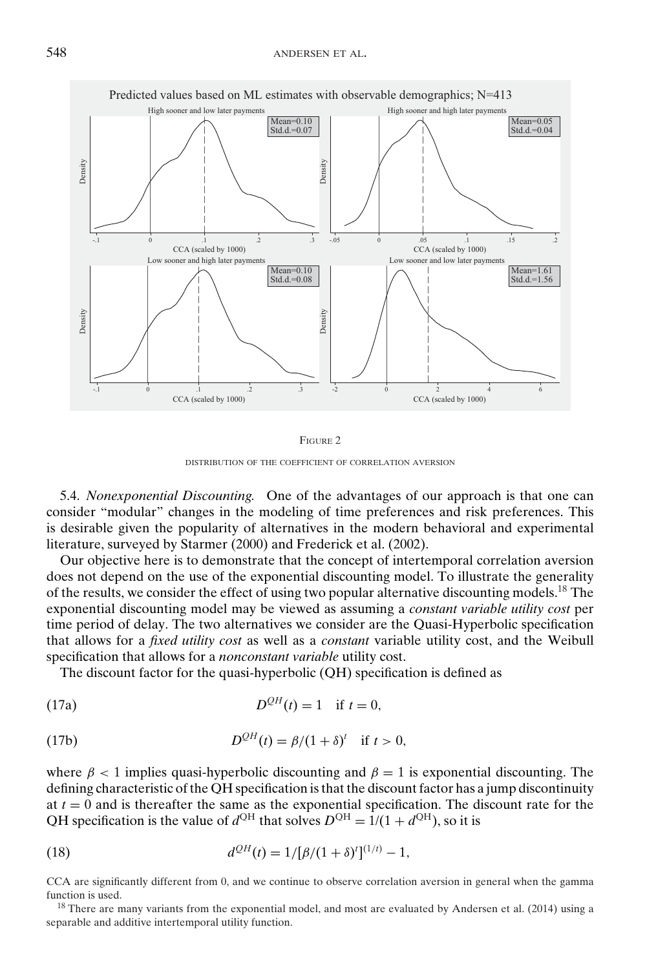

FIGURE 2

DISTRIBUTION OF THE COEFFICIENT OF CORRELATION AVERSION

5.4. *Nonexponential Discounting.* One of the advantages of our approach is that one can consider "modular" changes in the modeling of time preferences and risk preferences. This is desirable given the popularity of alternatives in the modern behavioral and experimental literature, surveyed by Starmer (2000) and Frederick et al. (2002).

Our objective here is to demonstrate that the concept of intertemporal correlation aversion does not depend on the use of the exponential discounting model. To illustrate the generality of the results, we consider the effect of using two popular alternative discounting models.<sup>18</sup> The exponential discounting model may be viewed as assuming a *constant variable utility cost* per time period of delay. The two alternatives we consider are the Quasi-Hyperbolic specification that allows for a *fixed utility cost* as well as a *constant* variable utility cost, and the Weibull specification that allows for a *nonconstant variable* utility cost.

The discount factor for the quasi-hyperbolic (QH) specification is defined as

*DQH* (17a) (*t*) = 1 if *t* = 0,

(17b) 
$$
D^{QH}(t) = \beta/(1+\delta)^t \text{ if } t > 0,
$$

where  $\beta$  < 1 implies quasi-hyperbolic discounting and  $\beta$  = 1 is exponential discounting. The defining characteristic of the QH specification is that the discount factor has a jump discontinuity at  $t = 0$  and is thereafter the same as the exponential specification. The discount rate for the QH specification is the value of  $d^{\text{QH}}$  that solves  $D^{\text{QH}} = 1/(1 + d^{\text{QH}})$ , so it is

(18) 
$$
d^{QH}(t) = 1/[\beta/(1+\delta)^t]^{(1/t)} - 1,
$$

CCA are significantly different from 0, and we continue to observe correlation aversion in general when the gamma function is used.

<sup>18</sup> There are many variants from the exponential model, and most are evaluated by Andersen et al. (2014) using a separable and additive intertemporal utility function.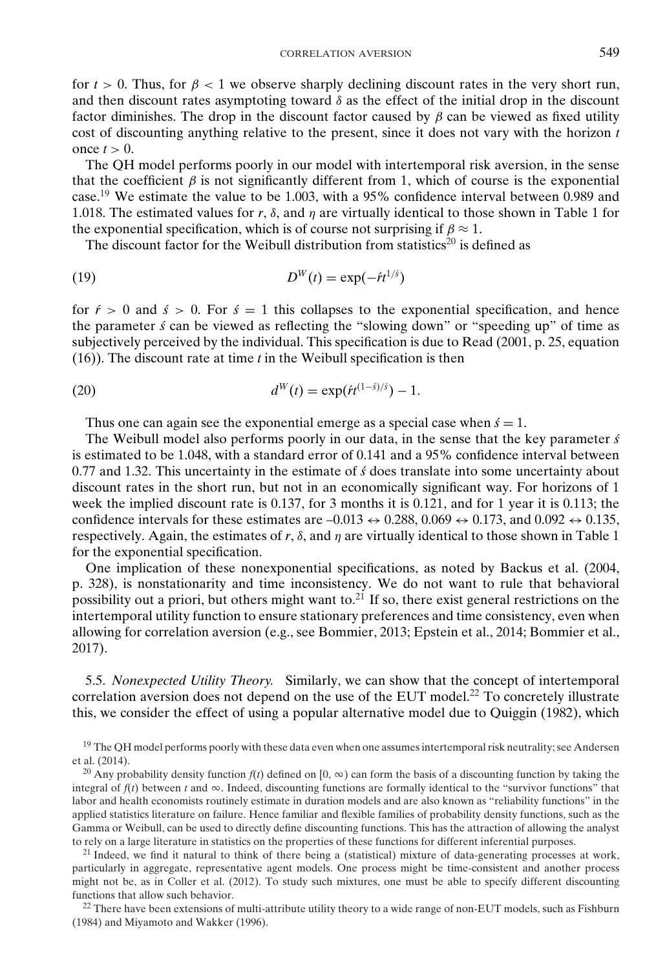for  $t > 0$ . Thus, for  $\beta < 1$  we observe sharply declining discount rates in the very short run, and then discount rates asymptoting toward  $\delta$  as the effect of the initial drop in the discount factor diminishes. The drop in the discount factor caused by  $\beta$  can be viewed as fixed utility cost of discounting anything relative to the present, since it does not vary with the horizon *t* once  $t > 0$ .

The QH model performs poorly in our model with intertemporal risk aversion, in the sense that the coefficient  $\beta$  is not significantly different from 1, which of course is the exponential case.19 We estimate the value to be 1.003, with a 95% confidence interval between 0.989 and 1.018. The estimated values for *r*,  $\delta$ , and  $\eta$  are virtually identical to those shown in Table 1 for the exponential specification, which is of course not surprising if  $\beta \approx 1$ .

The discount factor for the Weibull distribution from statistics<sup>20</sup> is defined as

$$
(19) \t\t\t DW(t) = \exp(-\acute{r}t^{1/\acute{s}})
$$

for  $\acute{r}$  > 0 and  $\acute{s}$  > 0. For  $\acute{s}$  = 1 this collapses to the exponential specification, and hence the parameter *s´* can be viewed as reflecting the "slowing down" or "speeding up" of time as subjectively perceived by the individual. This specification is due to Read (2001, p. 25, equation (16)). The discount rate at time *t* in the Weibull specification is then

(20) 
$$
d^{W}(t) = \exp(f t^{(1-\hat{s})/\hat{s}}) - 1.
$$

Thus one can again see the exponential emerge as a special case when  $\acute{s} = 1$ .

The Weibull model also performs poorly in our data, in the sense that the key parameter *s´* is estimated to be 1.048, with a standard error of 0.141 and a 95% confidence interval between 0.77 and 1.32. This uncertainty in the estimate of *s´* does translate into some uncertainty about discount rates in the short run, but not in an economically significant way. For horizons of 1 week the implied discount rate is 0.137, for 3 months it is 0.121, and for 1 year it is 0.113; the confidence intervals for these estimates are  $-0.013 \leftrightarrow 0.288, 0.069 \leftrightarrow 0.173$ , and  $0.092 \leftrightarrow 0.135$ , respectively. Again, the estimates of  $r$ ,  $\delta$ , and  $\eta$  are virtually identical to those shown in Table 1 for the exponential specification.

One implication of these nonexponential specifications, as noted by Backus et al. (2004, p. 328), is nonstationarity and time inconsistency. We do not want to rule that behavioral possibility out a priori, but others might want to.<sup>21</sup> If so, there exist general restrictions on the intertemporal utility function to ensure stationary preferences and time consistency, even when allowing for correlation aversion (e.g., see Bommier, 2013; Epstein et al., 2014; Bommier et al., 2017).

5.5. *Nonexpected Utility Theory.* Similarly, we can show that the concept of intertemporal correlation aversion does not depend on the use of the EUT model.<sup>22</sup> To concretely illustrate this, we consider the effect of using a popular alternative model due to Quiggin (1982), which

 $22$  There have been extensions of multi-attribute utility theory to a wide range of non-EUT models, such as Fishburn (1984) and Miyamoto and Wakker (1996).

<sup>&</sup>lt;sup>19</sup> The QH model performs poorly with these data even when one assumes intertemporal risk neutrality; see Andersen et al. (2014).

<sup>&</sup>lt;sup>20</sup> Any probability density function  $f(t)$  defined on [0,  $\infty$ ) can form the basis of a discounting function by taking the integral of  $f(t)$  between *t* and  $\infty$ . Indeed, discounting functions are formally identical to the "survivor functions" that labor and health economists routinely estimate in duration models and are also known as "reliability functions" in the applied statistics literature on failure. Hence familiar and flexible families of probability density functions, such as the Gamma or Weibull, can be used to directly define discounting functions. This has the attraction of allowing the analyst to rely on a large literature in statistics on the properties of these functions for different inferential purposes.

 $21$  Indeed, we find it natural to think of there being a (statistical) mixture of data-generating processes at work, particularly in aggregate, representative agent models. One process might be time-consistent and another process might not be, as in Coller et al. (2012). To study such mixtures, one must be able to specify different discounting functions that allow such behavior.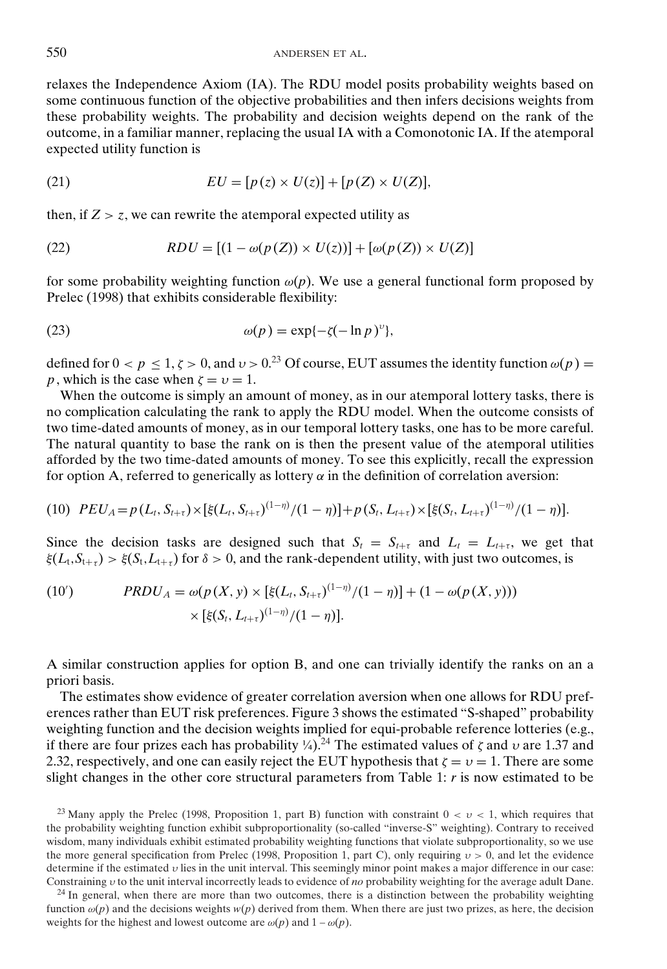relaxes the Independence Axiom (IA). The RDU model posits probability weights based on some continuous function of the objective probabilities and then infers decisions weights from these probability weights. The probability and decision weights depend on the rank of the outcome, in a familiar manner, replacing the usual IA with a Comonotonic IA. If the atemporal expected utility function is

(21) 
$$
EU = [p(z) \times U(z)] + [p(Z) \times U(Z)],
$$

then, if  $Z > z$ , we can rewrite the atemporal expected utility as

(22) 
$$
RDU = [(1 - \omega(p(Z)) \times U(z))] + [\omega(p(Z)) \times U(Z)]
$$

for some probability weighting function  $\omega(p)$ . We use a general functional form proposed by Prelec (1998) that exhibits considerable flexibility:

(23) 
$$
\omega(p) = \exp\{-\zeta(-\ln p)^{\nu}\},
$$

defined for  $0 < p \le 1$ ,  $\zeta > 0$ , and  $v > 0$ .<sup>23</sup> Of course, EUT assumes the identity function  $\omega(p) =$ *p*, which is the case when  $\zeta = v = 1$ .

When the outcome is simply an amount of money, as in our atemporal lottery tasks, there is no complication calculating the rank to apply the RDU model. When the outcome consists of two time-dated amounts of money, as in our temporal lottery tasks, one has to be more careful. The natural quantity to base the rank on is then the present value of the atemporal utilities afforded by the two time-dated amounts of money. To see this explicitly, recall the expression for option A, referred to generically as lottery  $\alpha$  in the definition of correlation aversion:

(10) 
$$
PEU_A = p(L_t, S_{t+\tau}) \times [\xi(L_t, S_{t+\tau})^{(1-\eta)}/(1-\eta)] + p(S_t, L_{t+\tau}) \times [\xi(S_t, L_{t+\tau})^{(1-\eta)}/(1-\eta)].
$$

Since the decision tasks are designed such that  $S_t = S_{t+\tau}$  and  $L_t = L_{t+\tau}$ , we get that  $\xi(L_t, S_{t+\tau}) > \xi(S_t, L_{t+\tau})$  for  $\delta > 0$ , and the rank-dependent utility, with just two outcomes, is

(10') 
$$
PRDU_{A} = \omega(p(X, y) \times [\xi(L_{t}, S_{t+\tau})^{(1-\eta)}/(1-\eta)] + (1-\omega(p(X, y))) \times [\xi(S_{t}, L_{t+\tau})^{(1-\eta)}/(1-\eta)].
$$

A similar construction applies for option B, and one can trivially identify the ranks on an a priori basis.

The estimates show evidence of greater correlation aversion when one allows for RDU preferences rather than EUT risk preferences. Figure 3 shows the estimated "S-shaped" probability weighting function and the decision weights implied for equi-probable reference lotteries (e.g., if there are four prizes each has probability  $\frac{1}{4}$ .<sup>24</sup> The estimated values of  $\zeta$  and  $\nu$  are 1.37 and 2.32, respectively, and one can easily reject the EUT hypothesis that  $\zeta = v = 1$ . There are some slight changes in the other core structural parameters from Table 1: *r* is now estimated to be

<sup>&</sup>lt;sup>23</sup> Many apply the Prelec (1998, Proposition 1, part B) function with constraint  $0 < v < 1$ , which requires that the probability weighting function exhibit subproportionality (so-called "inverse-S" weighting). Contrary to received wisdom, many individuals exhibit estimated probability weighting functions that violate subproportionality, so we use the more general specification from Prelec (1998, Proposition 1, part C), only requiring  $v > 0$ , and let the evidence determine if the estimated  $\nu$  lies in the unit interval. This seemingly minor point makes a major difference in our case: Constraining υ to the unit interval incorrectly leads to evidence of *no* probability weighting for the average adult Dane.

 $24$  In general, when there are more than two outcomes, there is a distinction between the probability weighting function  $\omega(p)$  and the decisions weights  $w(p)$  derived from them. When there are just two prizes, as here, the decision weights for the highest and lowest outcome are  $\omega(p)$  and  $1 - \omega(p)$ .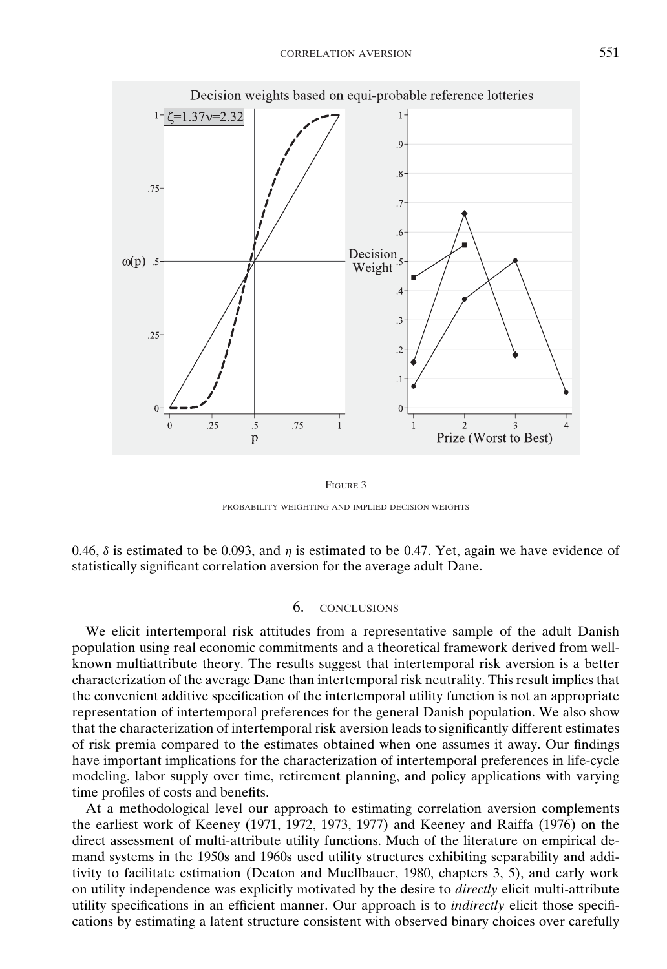

FIGURE 3 PROBABILITY WEIGHTING AND IMPLIED DECISION WEIGHTS

0.46,  $\delta$  is estimated to be 0.093, and  $\eta$  is estimated to be 0.47. Yet, again we have evidence of statistically significant correlation aversion for the average adult Dane.

## 6. CONCLUSIONS

We elicit intertemporal risk attitudes from a representative sample of the adult Danish population using real economic commitments and a theoretical framework derived from wellknown multiattribute theory. The results suggest that intertemporal risk aversion is a better characterization of the average Dane than intertemporal risk neutrality. This result implies that the convenient additive specification of the intertemporal utility function is not an appropriate representation of intertemporal preferences for the general Danish population. We also show that the characterization of intertemporal risk aversion leads to significantly different estimates of risk premia compared to the estimates obtained when one assumes it away. Our findings have important implications for the characterization of intertemporal preferences in life-cycle modeling, labor supply over time, retirement planning, and policy applications with varying time profiles of costs and benefits.

At a methodological level our approach to estimating correlation aversion complements the earliest work of Keeney (1971, 1972, 1973, 1977) and Keeney and Raiffa (1976) on the direct assessment of multi-attribute utility functions. Much of the literature on empirical demand systems in the 1950s and 1960s used utility structures exhibiting separability and additivity to facilitate estimation (Deaton and Muellbauer, 1980, chapters 3, 5), and early work on utility independence was explicitly motivated by the desire to *directly* elicit multi-attribute utility specifications in an efficient manner. Our approach is to *indirectly* elicit those specifications by estimating a latent structure consistent with observed binary choices over carefully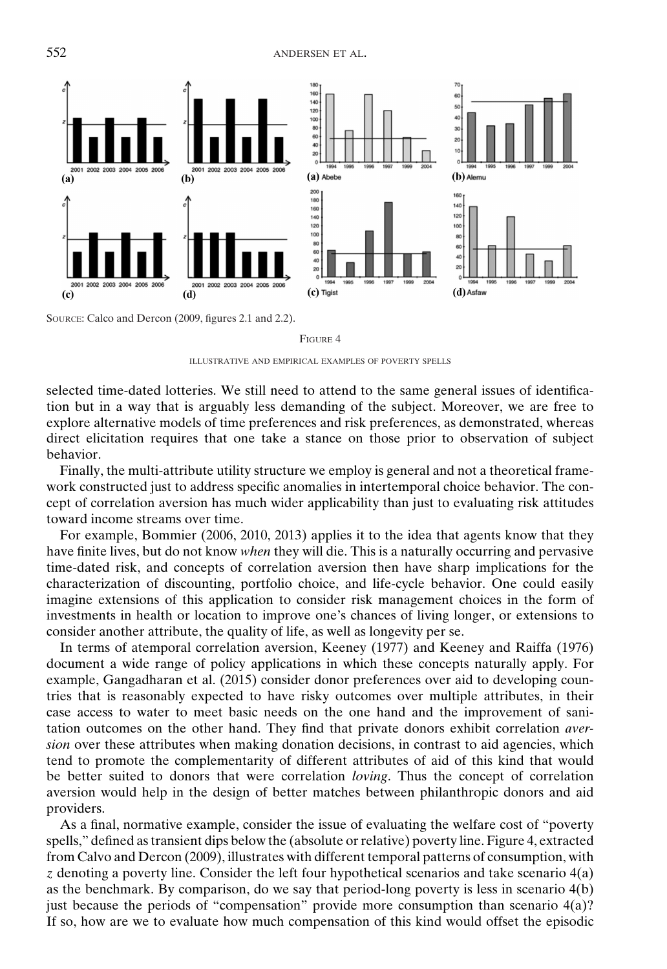

SOURCE: Calco and Dercon (2009, figures 2.1 and 2.2).

#### FIGURE 4

ILLUSTRATIVE AND EMPIRICAL EXAMPLES OF POVERTY SPELLS

selected time-dated lotteries. We still need to attend to the same general issues of identification but in a way that is arguably less demanding of the subject. Moreover, we are free to explore alternative models of time preferences and risk preferences, as demonstrated, whereas direct elicitation requires that one take a stance on those prior to observation of subject behavior.

Finally, the multi-attribute utility structure we employ is general and not a theoretical framework constructed just to address specific anomalies in intertemporal choice behavior. The concept of correlation aversion has much wider applicability than just to evaluating risk attitudes toward income streams over time.

For example, Bommier (2006, 2010, 2013) applies it to the idea that agents know that they have finite lives, but do not know *when* they will die. This is a naturally occurring and pervasive time-dated risk, and concepts of correlation aversion then have sharp implications for the characterization of discounting, portfolio choice, and life-cycle behavior. One could easily imagine extensions of this application to consider risk management choices in the form of investments in health or location to improve one's chances of living longer, or extensions to consider another attribute, the quality of life, as well as longevity per se.

In terms of atemporal correlation aversion, Keeney (1977) and Keeney and Raiffa (1976) document a wide range of policy applications in which these concepts naturally apply. For example, Gangadharan et al. (2015) consider donor preferences over aid to developing countries that is reasonably expected to have risky outcomes over multiple attributes, in their case access to water to meet basic needs on the one hand and the improvement of sanitation outcomes on the other hand. They find that private donors exhibit correlation *aversion* over these attributes when making donation decisions, in contrast to aid agencies, which tend to promote the complementarity of different attributes of aid of this kind that would be better suited to donors that were correlation *loving*. Thus the concept of correlation aversion would help in the design of better matches between philanthropic donors and aid providers.

As a final, normative example, consider the issue of evaluating the welfare cost of "poverty spells," defined as transient dips below the (absolute or relative) poverty line. Figure 4, extracted from Calvo and Dercon (2009), illustrates with different temporal patterns of consumption, with *z* denoting a poverty line. Consider the left four hypothetical scenarios and take scenario 4(a) as the benchmark. By comparison, do we say that period-long poverty is less in scenario 4(b) just because the periods of "compensation" provide more consumption than scenario 4(a)? If so, how are we to evaluate how much compensation of this kind would offset the episodic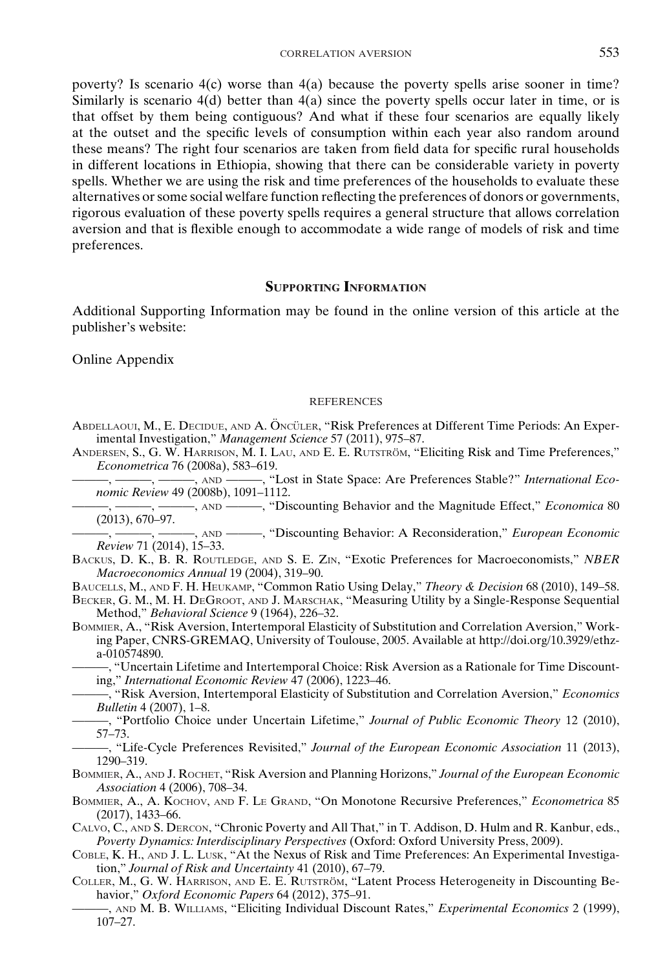poverty? Is scenario 4(c) worse than 4(a) because the poverty spells arise sooner in time? Similarly is scenario  $4(d)$  better than  $4(a)$  since the poverty spells occur later in time, or is that offset by them being contiguous? And what if these four scenarios are equally likely at the outset and the specific levels of consumption within each year also random around these means? The right four scenarios are taken from field data for specific rural households in different locations in Ethiopia, showing that there can be considerable variety in poverty spells. Whether we are using the risk and time preferences of the households to evaluate these alternatives or some social welfare function reflecting the preferences of donors or governments, rigorous evaluation of these poverty spells requires a general structure that allows correlation aversion and that is flexible enough to accommodate a wide range of models of risk and time preferences.

## **SUPPORTING INFORMATION**

Additional Supporting Information may be found in the online version of this article at the publisher's website:

Online Appendix

#### **REFERENCES**

ABDELLAOUI, M., E. DECIDUE, AND A. ÖNCÜLER, "Risk Preferences at Different Time Periods: An Experimental Investigation," *Management Science* 57 (2011), 975–87.

ANDERSEN, S., G. W. HARRISON, M. I. LAU, AND E. E. RUTSTRÖM, "Eliciting Risk and Time Preferences," *Econometrica* 76 (2008a), 583–619.

-, -----, AND -----, "Lost in State Space: Are Preferences Stable?" *International Economic Review* 49 (2008b), 1091–1112.

———, ———, ———, AND ———, "Discounting Behavior and the Magnitude Effect," *Economica* 80 (2013), 670–97.

———, ———, ———, AND ———, "Discounting Behavior: A Reconsideration," *European Economic Review* 71 (2014), 15–33.

BACKUS, D. K., B. R. ROUTLEDGE, AND S. E. ZIN, "Exotic Preferences for Macroeconomists," *NBER Macroeconomics Annual* 19 (2004), 319–90.

BAUCELLS, M., AND F. H. HEUKAMP, "Common Ratio Using Delay," *Theory & Decision* 68 (2010), 149–58.

BECKER, G. M., M. H. DEGROOT, AND J. MARSCHAK, "Measuring Utility by a Single-Response Sequential Method," *Behavioral Science* 9 (1964), 226–32.

BOMMIER, A., "Risk Aversion, Intertemporal Elasticity of Substitution and Correlation Aversion," Working Paper, CNRS-GREMAQ, University of Toulouse, 2005. Available at http://doi.org/10.3929/ethza-010574890.

———, "Uncertain Lifetime and Intertemporal Choice: Risk Aversion as a Rationale for Time Discounting," *International Economic Review* 47 (2006), 1223–46.

———, "Risk Aversion, Intertemporal Elasticity of Substitution and Correlation Aversion," *Economics Bulletin* 4 (2007), 1–8.

———, "Portfolio Choice under Uncertain Lifetime," *Journal of Public Economic Theory* 12 (2010), 57–73.

———, "Life-Cycle Preferences Revisited," *Journal of the European Economic Association* 11 (2013), 1290–319.

BOMMIER, A., AND J. ROCHET, "Risk Aversion and Planning Horizons," *Journal of the European Economic Association* 4 (2006), 708–34.

BOMMIER, A., A. KOCHOV, AND F. LE GRAND, "On Monotone Recursive Preferences," *Econometrica* 85 (2017), 1433–66.

- CALVO, C., AND S. DERCON, "Chronic Poverty and All That," in T. Addison, D. Hulm and R. Kanbur, eds., *Poverty Dynamics: Interdisciplinary Perspectives* (Oxford: Oxford University Press, 2009).
- COBLE, K. H., AND J. L. LUSK, "At the Nexus of Risk and Time Preferences: An Experimental Investigation," *Journal of Risk and Uncertainty* 41 (2010), 67–79.
- COLLER, M., G. W. HARRISON, AND E. E. RUTSTRÖM, "Latent Process Heterogeneity in Discounting Behavior," *Oxford Economic Papers* 64 (2012), 375–91.
	- ———, AND M. B. WILLIAMS, "Eliciting Individual Discount Rates," *Experimental Economics* 2 (1999), 107–27.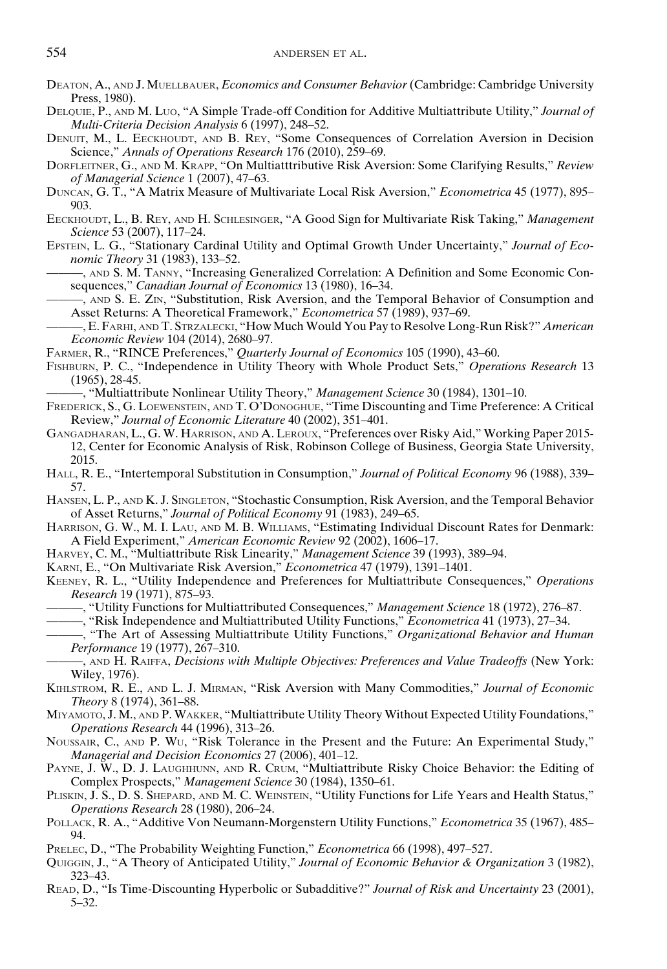- DEATON, A., AND J. MUELLBAUER, *Economics and Consumer Behavior* (Cambridge: Cambridge University Press, 1980).
- DELQUIE, P., AND M. LUO, "A Simple Trade-off Condition for Additive Multiattribute Utility," *Journal of Multi-Criteria Decision Analysis* 6 (1997), 248–52.
- DENUIT, M., L. EECKHOUDT, AND B. REY, "Some Consequences of Correlation Aversion in Decision Science," *Annals of Operations Research* 176 (2010), 259–69.
- DORFLEITNER, G., AND M. KRAPP, "On Multiatttributive Risk Aversion: Some Clarifying Results," *Review of Managerial Science* 1 (2007), 47–63.
- DUNCAN, G. T., "A Matrix Measure of Multivariate Local Risk Aversion," *Econometrica* 45 (1977), 895– 903.
- EECKHOUDT, L., B. REY, AND H. SCHLESINGER, "A Good Sign for Multivariate Risk Taking," *Management Science* 53 (2007), 117–24.
- EPSTEIN, L. G., "Stationary Cardinal Utility and Optimal Growth Under Uncertainty," *Journal of Economic Theory* 31 (1983), 133–52.

———, AND S. M. TANNY, "Increasing Generalized Correlation: A Definition and Some Economic Consequences," *Canadian Journal of Economics* 13 (1980), 16–34.

———, AND S. E. ZIN, "Substitution, Risk Aversion, and the Temporal Behavior of Consumption and Asset Returns: A Theoretical Framework," *Econometrica* 57 (1989), 937–69.

———, E. FARHI, AND T. STRZALECKI, "How Much Would You Pay to Resolve Long-Run Risk?" *American Economic Review* 104 (2014), 2680–97.

FARMER, R., "RINCE Preferences," *Quarterly Journal of Economics* 105 (1990), 43–60.

FISHBURN, P. C., "Independence in Utility Theory with Whole Product Sets," *Operations Research* 13 (1965), 28-45.

———, "Multiattribute Nonlinear Utility Theory," *Management Science* 30 (1984), 1301–10.

- FREDERICK, S., G. LOEWENSTEIN, AND T. O'DONOGHUE, "Time Discounting and Time Preference: A Critical Review," *Journal of Economic Literature* 40 (2002), 351–401.
- GANGADHARAN, L., G. W. HARRISON, AND A. LEROUX, "Preferences over Risky Aid," Working Paper 2015- 12, Center for Economic Analysis of Risk, Robinson College of Business, Georgia State University, 2015.
- HALL, R. E., "Intertemporal Substitution in Consumption," *Journal of Political Economy* 96 (1988), 339– 57.
- HANSEN, L. P., AND K. J. SINGLETON, "Stochastic Consumption, Risk Aversion, and the Temporal Behavior of Asset Returns," *Journal of Political Economy* 91 (1983), 249–65.
- HARRISON, G. W., M. I. LAU, AND M. B. WILLIAMS, "Estimating Individual Discount Rates for Denmark: A Field Experiment," *American Economic Review* 92 (2002), 1606–17.
- HARVEY, C. M., "Multiattribute Risk Linearity," *Management Science* 39 (1993), 389–94.
- KARNI, E., "On Multivariate Risk Aversion," *Econometrica* 47 (1979), 1391–1401.
- KEENEY, R. L., "Utility Independence and Preferences for Multiattribute Consequences," *Operations Research* 19 (1971), 875–93.
- ———, "Utility Functions for Multiattributed Consequences," *Management Science* 18 (1972), 276–87.
	- ———, "Risk Independence and Multiattributed Utility Functions," *Econometrica* 41 (1973), 27–34.
- ———, "The Art of Assessing Multiattribute Utility Functions," *Organizational Behavior and Human Performance* 19 (1977), 267–310.

———, AND H. RAIFFA, *Decisions with Multiple Objectives: Preferences and Value Tradeoffs* (New York: Wiley, 1976).

- KIHLSTROM, R. E., AND L. J. MIRMAN, "Risk Aversion with Many Commodities," *Journal of Economic Theory* 8 (1974), 361–88.
- MIYAMOTO, J. M., AND P. WAKKER, "Multiattribute Utility Theory Without Expected Utility Foundations," *Operations Research* 44 (1996), 313–26.
- NOUSSAIR, C., AND P. WU, "Risk Tolerance in the Present and the Future: An Experimental Study," *Managerial and Decision Economics* 27 (2006), 401–12.

PAYNE, J. W., D. J. LAUGHHUNN, AND R. CRUM, "Multiattribute Risky Choice Behavior: the Editing of Complex Prospects," *Management Science* 30 (1984), 1350–61.

- PLISKIN, J. S., D. S. SHEPARD, AND M. C. WEINSTEIN, "Utility Functions for Life Years and Health Status," *Operations Research* 28 (1980), 206–24.
- POLLACK, R. A., "Additive Von Neumann-Morgenstern Utility Functions," *Econometrica* 35 (1967), 485– 94.
- PRELEC, D., "The Probability Weighting Function," *Econometrica* 66 (1998), 497–527.
- QUIGGIN, J., "A Theory of Anticipated Utility," *Journal of Economic Behavior & Organization* 3 (1982), 323–43.
- READ, D., "Is Time-Discounting Hyperbolic or Subadditive?" *Journal of Risk and Uncertainty* 23 (2001), 5–32.